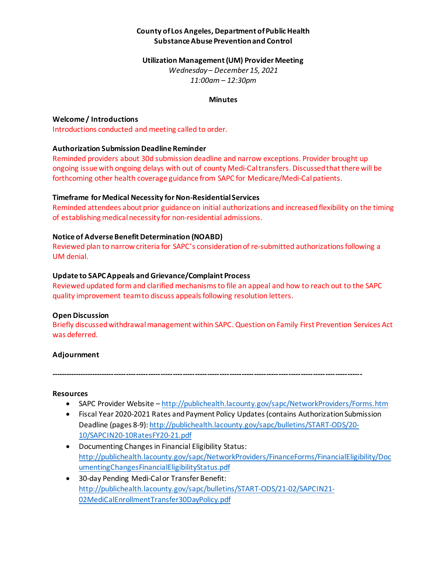# **County of Los Angeles, Department of Public Health Substance Abuse Prevention and Control**

#### **Utilization Management (UM) Provider Meeting**

*Wednesday – December 15, 2021 11:00am – 12:30pm*

#### **Minutes**

#### **Welcome / Introductions**

Introductions conducted and meeting called to order.

### **Authorization Submission DeadlineReminder**

Reminded providers about 30d submission deadline and narrow exceptions. Provider brought up ongoing issue with ongoing delays with out of county Medi-Cal transfers. Discussed that there will be forthcoming other health coverage guidance from SAPC for Medicare/Medi-Cal patients.

## **Timeframe for Medical Necessity for Non-Residential Services**

Reminded attendees about prior guidance on initial authorizations and increased flexibility on the timing of establishing medical necessity for non-residential admissions.

### **Notice of Adverse Benefit Determination (NOABD)**

Reviewed plan to narrow criteria for SAPC's consideration of re-submitted authorizations following a UM denial.

#### **Update to SAPC Appeals and Grievance/Complaint Process**

Reviewed updated form and clarified mechanisms to file an appeal and how to reach out to the SAPC quality improvement team to discuss appeals following resolution letters.

### **Open Discussion**

Briefly discussed withdrawal management within SAPC. Question on Family First Prevention Services Act was deferred.

### **Adjournment**

**-------------------------------------------------------------------------------------------------------------------------------**

#### **Resources**

- SAPC Provider Website <http://publichealth.lacounty.gov/sapc/NetworkProviders/Forms.htm>
- Fiscal Year 2020-2021 Rates and Payment Policy Updates (contains Authorization Submission Deadline (pages 8-9): [http://publichealth.lacounty.gov/sapc/bulletins/START-ODS/20-](http://publichealth.lacounty.gov/sapc/bulletins/START-ODS/20-10/SAPCIN20-10RatesFY20-21.pdf) [10/SAPCIN20-10RatesFY20-21.pdf](http://publichealth.lacounty.gov/sapc/bulletins/START-ODS/20-10/SAPCIN20-10RatesFY20-21.pdf)
- Documenting Changes in Financial Eligibility Status: [http://publichealth.lacounty.gov/sapc/NetworkProviders/FinanceForms/FinancialEligibility/Doc](http://publichealth.lacounty.gov/sapc/NetworkProviders/FinanceForms/FinancialEligibility/DocumentingChangesFinancialEligibilityStatus.pdf) [umentingChangesFinancialEligibilityStatus.pdf](http://publichealth.lacounty.gov/sapc/NetworkProviders/FinanceForms/FinancialEligibility/DocumentingChangesFinancialEligibilityStatus.pdf)
- 30-day Pending Medi-Cal or Transfer Benefit: [http://publichealth.lacounty.gov/sapc/bulletins/START-ODS/21-02/SAPCIN21-](http://publichealth.lacounty.gov/sapc/bulletins/START-ODS/21-02/SAPCIN21-02MediCalEnrollmentTransfer30DayPolicy.pdf) [02MediCalEnrollmentTransfer30DayPolicy.pdf](http://publichealth.lacounty.gov/sapc/bulletins/START-ODS/21-02/SAPCIN21-02MediCalEnrollmentTransfer30DayPolicy.pdf)